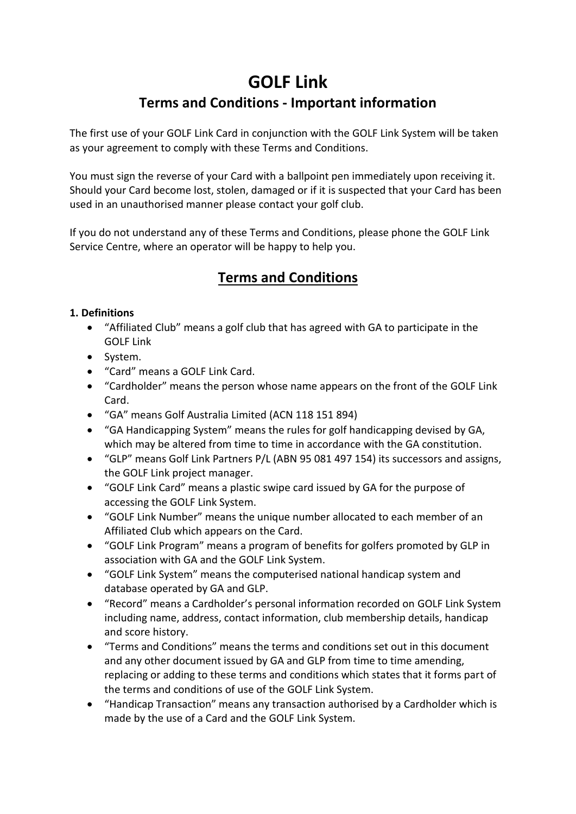# **GOLF Link**

# **Terms and Conditions - Important information**

The first use of your GOLF Link Card in conjunction with the GOLF Link System will be taken as your agreement to comply with these Terms and Conditions.

You must sign the reverse of your Card with a ballpoint pen immediately upon receiving it. Should your Card become lost, stolen, damaged or if it is suspected that your Card has been used in an unauthorised manner please contact your golf club.

If you do not understand any of these Terms and Conditions, please phone the GOLF Link Service Centre, where an operator will be happy to help you.

# **Terms and Conditions**

#### **1. Definitions**

- "Affiliated Club" means a golf club that has agreed with GA to participate in the GOLF Link
- System.
- "Card" means a GOLF Link Card.
- "Cardholder" means the person whose name appears on the front of the GOLF Link Card.
- "GA" means Golf Australia Limited (ACN 118 151 894)
- "GA Handicapping System" means the rules for golf handicapping devised by GA, which may be altered from time to time in accordance with the GA constitution.
- "GLP" means Golf Link Partners P/L (ABN 95 081 497 154) its successors and assigns, the GOLF Link project manager.
- "GOLF Link Card" means a plastic swipe card issued by GA for the purpose of accessing the GOLF Link System.
- "GOLF Link Number" means the unique number allocated to each member of an Affiliated Club which appears on the Card.
- "GOLF Link Program" means a program of benefits for golfers promoted by GLP in association with GA and the GOLF Link System.
- "GOLF Link System" means the computerised national handicap system and database operated by GA and GLP.
- "Record" means a Cardholder's personal information recorded on GOLF Link System including name, address, contact information, club membership details, handicap and score history.
- "Terms and Conditions" means the terms and conditions set out in this document and any other document issued by GA and GLP from time to time amending, replacing or adding to these terms and conditions which states that it forms part of the terms and conditions of use of the GOLF Link System.
- "Handicap Transaction" means any transaction authorised by a Cardholder which is made by the use of a Card and the GOLF Link System.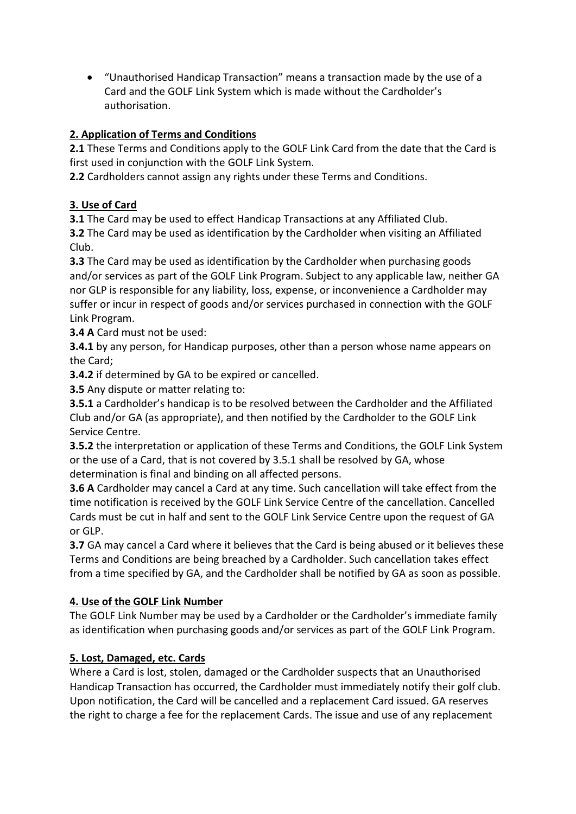"Unauthorised Handicap Transaction" means a transaction made by the use of a Card and the GOLF Link System which is made without the Cardholder's authorisation.

### **2. Application of Terms and Conditions**

**2.1** These Terms and Conditions apply to the GOLF Link Card from the date that the Card is first used in conjunction with the GOLF Link System.

**2.2** Cardholders cannot assign any rights under these Terms and Conditions.

### **3. Use of Card**

**3.1** The Card may be used to effect Handicap Transactions at any Affiliated Club. **3.2** The Card may be used as identification by the Cardholder when visiting an Affiliated Club.

**3.3** The Card may be used as identification by the Cardholder when purchasing goods and/or services as part of the GOLF Link Program. Subject to any applicable law, neither GA nor GLP is responsible for any liability, loss, expense, or inconvenience a Cardholder may suffer or incur in respect of goods and/or services purchased in connection with the GOLF Link Program.

**3.4 A** Card must not be used:

**3.4.1** by any person, for Handicap purposes, other than a person whose name appears on the Card;

**3.4.2** if determined by GA to be expired or cancelled.

**3.5** Any dispute or matter relating to:

**3.5.1** a Cardholder's handicap is to be resolved between the Cardholder and the Affiliated Club and/or GA (as appropriate), and then notified by the Cardholder to the GOLF Link Service Centre.

**3.5.2** the interpretation or application of these Terms and Conditions, the GOLF Link System or the use of a Card, that is not covered by 3.5.1 shall be resolved by GA, whose determination is final and binding on all affected persons.

**3.6 A** Cardholder may cancel a Card at any time. Such cancellation will take effect from the time notification is received by the GOLF Link Service Centre of the cancellation. Cancelled Cards must be cut in half and sent to the GOLF Link Service Centre upon the request of GA or GLP.

**3.7** GA may cancel a Card where it believes that the Card is being abused or it believes these Terms and Conditions are being breached by a Cardholder. Such cancellation takes effect from a time specified by GA, and the Cardholder shall be notified by GA as soon as possible.

# **4. Use of the GOLF Link Number**

The GOLF Link Number may be used by a Cardholder or the Cardholder's immediate family as identification when purchasing goods and/or services as part of the GOLF Link Program.

# **5. Lost, Damaged, etc. Cards**

Where a Card is lost, stolen, damaged or the Cardholder suspects that an Unauthorised Handicap Transaction has occurred, the Cardholder must immediately notify their golf club. Upon notification, the Card will be cancelled and a replacement Card issued. GA reserves the right to charge a fee for the replacement Cards. The issue and use of any replacement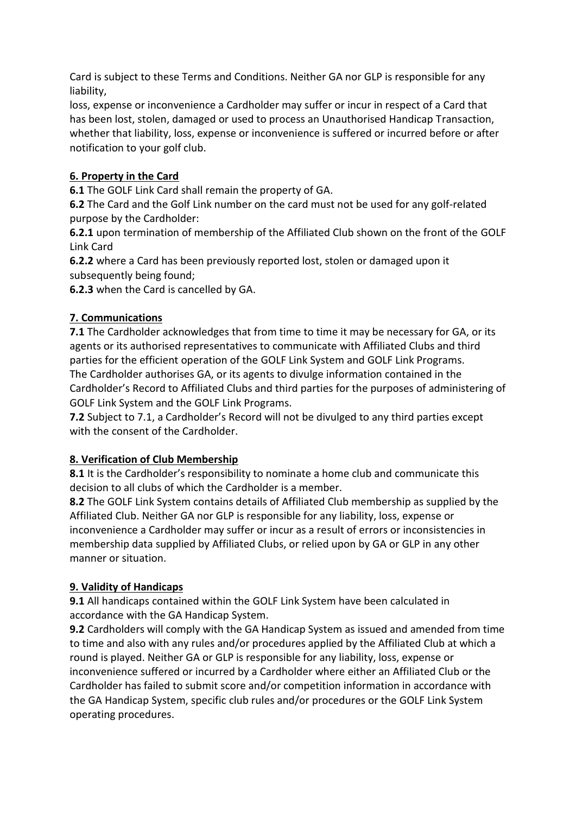Card is subject to these Terms and Conditions. Neither GA nor GLP is responsible for any liability,

loss, expense or inconvenience a Cardholder may suffer or incur in respect of a Card that has been lost, stolen, damaged or used to process an Unauthorised Handicap Transaction, whether that liability, loss, expense or inconvenience is suffered or incurred before or after notification to your golf club.

#### **6. Property in the Card**

**6.1** The GOLF Link Card shall remain the property of GA.

**6.2** The Card and the Golf Link number on the card must not be used for any golf-related purpose by the Cardholder:

**6.2.1** upon termination of membership of the Affiliated Club shown on the front of the GOLF Link Card

**6.2.2** where a Card has been previously reported lost, stolen or damaged upon it subsequently being found;

**6.2.3** when the Card is cancelled by GA.

#### **7. Communications**

**7.1** The Cardholder acknowledges that from time to time it may be necessary for GA, or its agents or its authorised representatives to communicate with Affiliated Clubs and third parties for the efficient operation of the GOLF Link System and GOLF Link Programs. The Cardholder authorises GA, or its agents to divulge information contained in the Cardholder's Record to Affiliated Clubs and third parties for the purposes of administering of GOLF Link System and the GOLF Link Programs.

**7.2** Subject to 7.1, a Cardholder's Record will not be divulged to any third parties except with the consent of the Cardholder.

#### **8. Verification of Club Membership**

**8.1** It is the Cardholder's responsibility to nominate a home club and communicate this decision to all clubs of which the Cardholder is a member.

**8.2** The GOLF Link System contains details of Affiliated Club membership as supplied by the Affiliated Club. Neither GA nor GLP is responsible for any liability, loss, expense or inconvenience a Cardholder may suffer or incur as a result of errors or inconsistencies in membership data supplied by Affiliated Clubs, or relied upon by GA or GLP in any other manner or situation.

#### **9. Validity of Handicaps**

**9.1** All handicaps contained within the GOLF Link System have been calculated in accordance with the GA Handicap System.

**9.2** Cardholders will comply with the GA Handicap System as issued and amended from time to time and also with any rules and/or procedures applied by the Affiliated Club at which a round is played. Neither GA or GLP is responsible for any liability, loss, expense or inconvenience suffered or incurred by a Cardholder where either an Affiliated Club or the Cardholder has failed to submit score and/or competition information in accordance with the GA Handicap System, specific club rules and/or procedures or the GOLF Link System operating procedures.